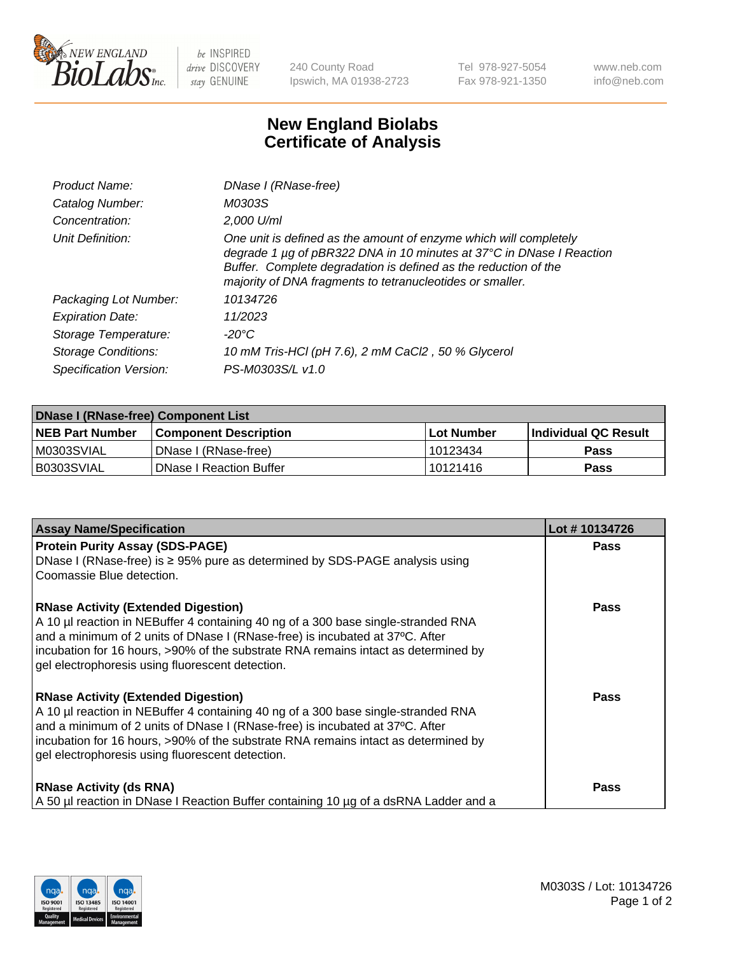

 $be$  INSPIRED drive DISCOVERY stay GENUINE

240 County Road Ipswich, MA 01938-2723 Tel 978-927-5054 Fax 978-921-1350 www.neb.com info@neb.com

## **New England Biolabs Certificate of Analysis**

| Product Name:              | DNase I (RNase-free)                                                                                                                                                                                                                                                      |
|----------------------------|---------------------------------------------------------------------------------------------------------------------------------------------------------------------------------------------------------------------------------------------------------------------------|
| Catalog Number:            | M0303S                                                                                                                                                                                                                                                                    |
| Concentration:             | 2,000 U/ml                                                                                                                                                                                                                                                                |
| Unit Definition:           | One unit is defined as the amount of enzyme which will completely<br>degrade 1 µg of pBR322 DNA in 10 minutes at 37°C in DNase I Reaction<br>Buffer. Complete degradation is defined as the reduction of the<br>majority of DNA fragments to tetranucleotides or smaller. |
| Packaging Lot Number:      | 10134726                                                                                                                                                                                                                                                                  |
| <b>Expiration Date:</b>    | 11/2023                                                                                                                                                                                                                                                                   |
| Storage Temperature:       | $-20^{\circ}$ C                                                                                                                                                                                                                                                           |
| <b>Storage Conditions:</b> | 10 mM Tris-HCl (pH 7.6), 2 mM CaCl2, 50 % Glycerol                                                                                                                                                                                                                        |
| Specification Version:     | PS-M0303S/L v1.0                                                                                                                                                                                                                                                          |

| <b>DNase I (RNase-free) Component List</b> |                              |            |                             |  |  |
|--------------------------------------------|------------------------------|------------|-----------------------------|--|--|
| <b>NEB Part Number</b>                     | <b>Component Description</b> | Lot Number | <b>Individual QC Result</b> |  |  |
| M0303SVIAL                                 | DNase I (RNase-free)         | 10123434   | <b>Pass</b>                 |  |  |
| I B0303SVIAL                               | l DNase I Reaction Buffer    | 10121416   | <b>Pass</b>                 |  |  |

| <b>Assay Name/Specification</b>                                                                                                                                   | Lot #10134726 |
|-------------------------------------------------------------------------------------------------------------------------------------------------------------------|---------------|
| <b>Protein Purity Assay (SDS-PAGE)</b>                                                                                                                            | <b>Pass</b>   |
| DNase I (RNase-free) is $\geq$ 95% pure as determined by SDS-PAGE analysis using<br>Coomassie Blue detection.                                                     |               |
| <b>RNase Activity (Extended Digestion)</b>                                                                                                                        | <b>Pass</b>   |
| A 10 µl reaction in NEBuffer 4 containing 40 ng of a 300 base single-stranded RNA<br>and a minimum of 2 units of DNase I (RNase-free) is incubated at 37°C. After |               |
| incubation for 16 hours, >90% of the substrate RNA remains intact as determined by                                                                                |               |
| gel electrophoresis using fluorescent detection.                                                                                                                  |               |
| <b>RNase Activity (Extended Digestion)</b>                                                                                                                        | <b>Pass</b>   |
| A 10 µl reaction in NEBuffer 4 containing 40 ng of a 300 base single-stranded RNA<br>and a minimum of 2 units of DNase I (RNase-free) is incubated at 37°C. After |               |
| incubation for 16 hours, >90% of the substrate RNA remains intact as determined by                                                                                |               |
| gel electrophoresis using fluorescent detection.                                                                                                                  |               |
| <b>RNase Activity (ds RNA)</b>                                                                                                                                    | Pass          |
| A 50 µl reaction in DNase I Reaction Buffer containing 10 µg of a dsRNA Ladder and a                                                                              |               |